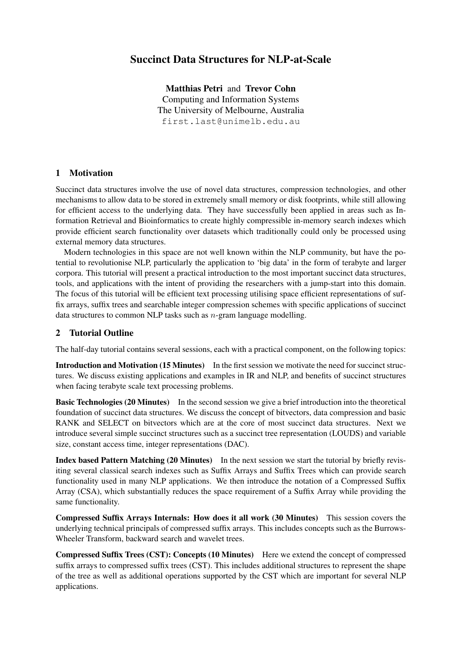# Succinct Data Structures for NLP-at-Scale

Matthias Petri and Trevor Cohn Computing and Information Systems The University of Melbourne, Australia first.last@unimelb.edu.au

#### 1 Motivation

Succinct data structures involve the use of novel data structures, compression technologies, and other mechanisms to allow data to be stored in extremely small memory or disk footprints, while still allowing for efficient access to the underlying data. They have successfully been applied in areas such as Information Retrieval and Bioinformatics to create highly compressible in-memory search indexes which provide efficient search functionality over datasets which traditionally could only be processed using external memory data structures.

Modern technologies in this space are not well known within the NLP community, but have the potential to revolutionise NLP, particularly the application to 'big data' in the form of terabyte and larger corpora. This tutorial will present a practical introduction to the most important succinct data structures, tools, and applications with the intent of providing the researchers with a jump-start into this domain. The focus of this tutorial will be efficient text processing utilising space efficient representations of suffix arrays, suffix trees and searchable integer compression schemes with specific applications of succinct data structures to common NLP tasks such as  $n$ -gram language modelling.

## 2 Tutorial Outline

The half-day tutorial contains several sessions, each with a practical component, on the following topics:

Introduction and Motivation (15 Minutes) In the first session we motivate the need for succinct structures. We discuss existing applications and examples in IR and NLP, and benefits of succinct structures when facing terabyte scale text processing problems.

Basic Technologies (20 Minutes) In the second session we give a brief introduction into the theoretical foundation of succinct data structures. We discuss the concept of bitvectors, data compression and basic RANK and SELECT on bitvectors which are at the core of most succinct data structures. Next we introduce several simple succinct structures such as a succinct tree representation (LOUDS) and variable size, constant access time, integer representations (DAC).

Index based Pattern Matching (20 Minutes) In the next session we start the tutorial by briefly revisiting several classical search indexes such as Suffix Arrays and Suffix Trees which can provide search functionality used in many NLP applications. We then introduce the notation of a Compressed Suffix Array (CSA), which substantially reduces the space requirement of a Suffix Array while providing the same functionality.

Compressed Suffix Arrays Internals: How does it all work (30 Minutes) This session covers the underlying technical principals of compressed suffix arrays. This includes concepts such as the Burrows-Wheeler Transform, backward search and wavelet trees.

Compressed Suffix Trees (CST): Concepts (10 Minutes) Here we extend the concept of compressed suffix arrays to compressed suffix trees (CST). This includes additional structures to represent the shape of the tree as well as additional operations supported by the CST which are important for several NLP applications.